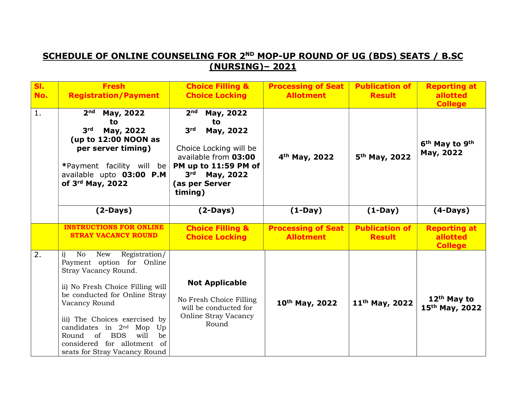## SCHEDULE OF ONLINE COUNSELING FOR 2ND MOP-UP ROUND OF UG (BDS) SEATS / B.SC (NURSING)– 2021

| <b>SI.</b><br>No. | <b>Fresh</b><br><b>Registration/Payment</b>                                                                                                                                        | <b>Choice Filling &amp;</b><br><b>Choice Locking</b>                                                                                                                                                      | <b>Processing of Seat</b><br><b>Allotment</b> | <b>Publication of</b><br><b>Result</b> | <b>Reporting at</b><br>allotted<br><b>College</b>   |
|-------------------|------------------------------------------------------------------------------------------------------------------------------------------------------------------------------------|-----------------------------------------------------------------------------------------------------------------------------------------------------------------------------------------------------------|-----------------------------------------------|----------------------------------------|-----------------------------------------------------|
| 1.                | $2nd$ May, 2022<br>to<br>3 <sup>rd</sup><br>May, 2022<br>(up to $12:00$ NOON as<br>per server timing)<br>*Payment facility will be<br>available upto 03:00 P.M<br>of 3rd May, 2022 | 2 <sub>nd</sub><br>May, 2022<br>to<br>3 <sup>rd</sup><br>May, 2022<br>Choice Locking will be<br>available from 03:00<br>PM up to 11:59 PM of<br>3 <sup>rd</sup><br>May, 2022<br>(as per Server<br>timing) | 4 <sup>th</sup> May, 2022                     | 5 <sup>th</sup> May, 2022              | 6 <sup>th</sup> May to 9 <sup>th</sup><br>May, 2022 |
|                   | $(2-Days)$                                                                                                                                                                         | $(2-Days)$                                                                                                                                                                                                | $(1-Day)$                                     | $(1-Day)$                              | $(4-Days)$                                          |
|                   | <b>INSTRUCTIONS FOR ONLINE</b><br><b>STRAY VACANCY ROUND</b>                                                                                                                       | <b>Choice Filling &amp;</b><br><b>Choice Locking</b>                                                                                                                                                      | <b>Processing of Seat</b><br><b>Allotment</b> | <b>Publication of</b><br><b>Result</b> | <b>Reporting at</b><br>allotted<br><b>College</b>   |
| 2.                | No<br>Registration/<br>$\mathbf{i}$<br>New<br>Payment option for Online<br>Stray Vacancy Round.                                                                                    |                                                                                                                                                                                                           |                                               |                                        |                                                     |